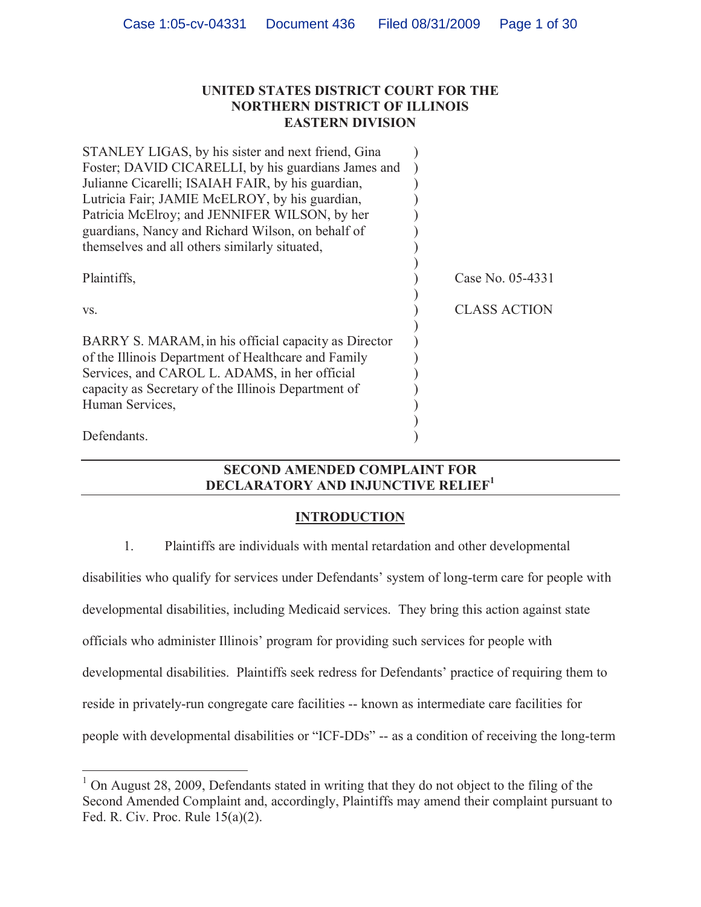## **UNITED STATES DISTRICT COURT FOR THE NORTHERN DISTRICT OF ILLINOIS EASTERN DIVISION**

| STANLEY LIGAS, by his sister and next friend, Gina                                                                                                                                                                  |                     |
|---------------------------------------------------------------------------------------------------------------------------------------------------------------------------------------------------------------------|---------------------|
| Foster; DAVID CICARELLI, by his guardians James and                                                                                                                                                                 |                     |
| Julianne Cicarelli; ISAIAH FAIR, by his guardian,                                                                                                                                                                   |                     |
| Lutricia Fair; JAMIE McELROY, by his guardian,                                                                                                                                                                      |                     |
| Patricia McElroy; and JENNIFER WILSON, by her                                                                                                                                                                       |                     |
| guardians, Nancy and Richard Wilson, on behalf of                                                                                                                                                                   |                     |
| themselves and all others similarly situated,                                                                                                                                                                       |                     |
| Plaintiffs,                                                                                                                                                                                                         | Case No. 05-4331    |
| VS.                                                                                                                                                                                                                 | <b>CLASS ACTION</b> |
| BARRY S. MARAM, in his official capacity as Director<br>of the Illinois Department of Healthcare and Family<br>Services, and CAROL L. ADAMS, in her official<br>capacity as Secretary of the Illinois Department of |                     |
| Human Services,                                                                                                                                                                                                     |                     |
|                                                                                                                                                                                                                     |                     |
| Defendants.                                                                                                                                                                                                         |                     |

## **SECOND AMENDED COMPLAINT FOR DECLARATORY AND INJUNCTIVE RELIEF<sup>1</sup>**

## **INTRODUCTION**

1. Plaintiffs are individuals with mental retardation and other developmental

disabilities who qualify for services under Defendants' system of long-term care for people with developmental disabilities, including Medicaid services. They bring this action against state officials who administer Illinois' program for providing such services for people with developmental disabilities. Plaintiffs seek redress for Defendants' practice of requiring them to reside in privately-run congregate care facilities -- known as intermediate care facilities for people with developmental disabilities or "ICF-DDs" -- as a condition of receiving the long-term

 $1$  On August 28, 2009, Defendants stated in writing that they do not object to the filing of the Second Amended Complaint and, accordingly, Plaintiffs may amend their complaint pursuant to Fed. R. Civ. Proc. Rule 15(a)(2).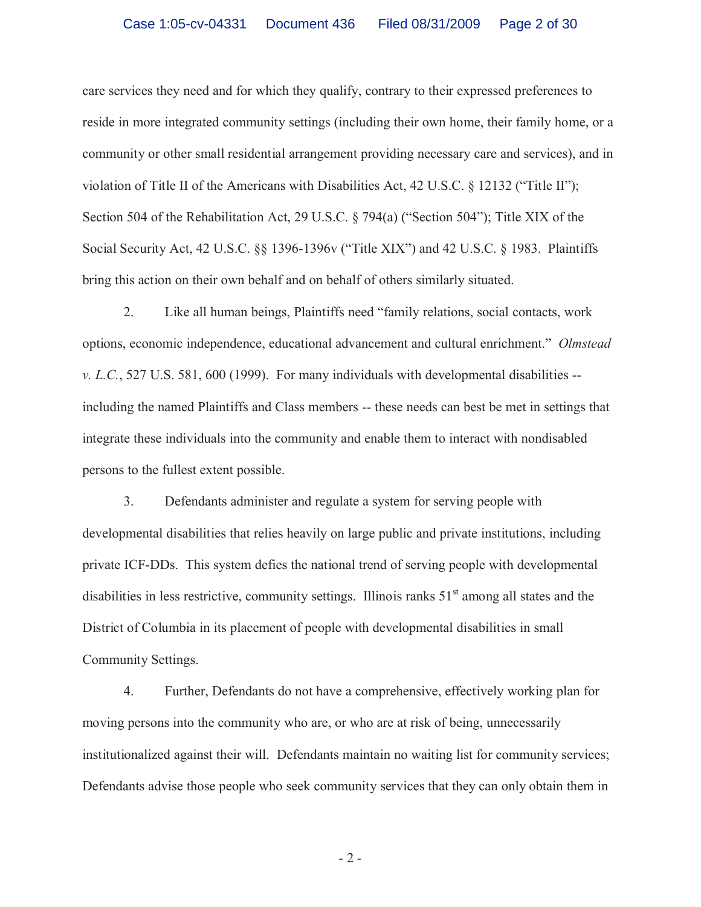care services they need and for which they qualify, contrary to their expressed preferences to reside in more integrated community settings (including their own home, their family home, or a community or other small residential arrangement providing necessary care and services), and in violation of Title II of the Americans with Disabilities Act, 42 U.S.C. § 12132 ("Title II"); Section 504 of the Rehabilitation Act, 29 U.S.C. § 794(a) ("Section 504"); Title XIX of the Social Security Act, 42 U.S.C. §§ 1396-1396v ("Title XIX") and 42 U.S.C. § 1983. Plaintiffs bring this action on their own behalf and on behalf of others similarly situated.

2. Like all human beings, Plaintiffs need "family relations, social contacts, work options, economic independence, educational advancement and cultural enrichment." *Olmstead v. L.C.*, 527 U.S. 581, 600 (1999). For many individuals with developmental disabilities - including the named Plaintiffs and Class members -- these needs can best be met in settings that integrate these individuals into the community and enable them to interact with nondisabled persons to the fullest extent possible.

3. Defendants administer and regulate a system for serving people with developmental disabilities that relies heavily on large public and private institutions, including private ICF-DDs. This system defies the national trend of serving people with developmental disabilities in less restrictive, community settings. Illinois ranks 51<sup>st</sup> among all states and the District of Columbia in its placement of people with developmental disabilities in small Community Settings.

4. Further, Defendants do not have a comprehensive, effectively working plan for moving persons into the community who are, or who are at risk of being, unnecessarily institutionalized against their will. Defendants maintain no waiting list for community services; Defendants advise those people who seek community services that they can only obtain them in

- 2 -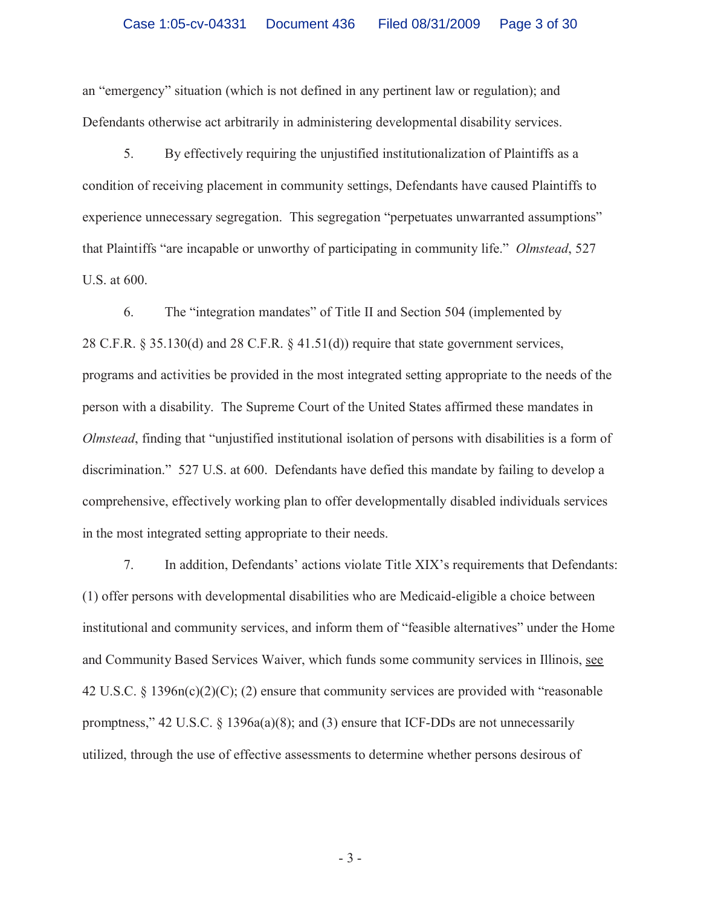an "emergency" situation (which is not defined in any pertinent law or regulation); and Defendants otherwise act arbitrarily in administering developmental disability services.

5. By effectively requiring the unjustified institutionalization of Plaintiffs as a condition of receiving placement in community settings, Defendants have caused Plaintiffs to experience unnecessary segregation. This segregation "perpetuates unwarranted assumptions" that Plaintiffs "are incapable or unworthy of participating in community life." *Olmstead*, 527 U.S. at 600.

6. The "integration mandates" of Title II and Section 504 (implemented by 28 C.F.R. § 35.130(d) and 28 C.F.R. § 41.51(d)) require that state government services, programs and activities be provided in the most integrated setting appropriate to the needs of the person with a disability. The Supreme Court of the United States affirmed these mandates in *Olmstead*, finding that "unjustified institutional isolation of persons with disabilities is a form of discrimination." 527 U.S. at 600. Defendants have defied this mandate by failing to develop a comprehensive, effectively working plan to offer developmentally disabled individuals services in the most integrated setting appropriate to their needs.

7. In addition, Defendants' actions violate Title XIX's requirements that Defendants: (1) offer persons with developmental disabilities who are Medicaid-eligible a choice between institutional and community services, and inform them of "feasible alternatives" under the Home and Community Based Services Waiver, which funds some community services in Illinois, see 42 U.S.C. § 1396n(c)(2)(C); (2) ensure that community services are provided with "reasonable promptness," 42 U.S.C. § 1396a(a)(8); and (3) ensure that ICF-DDs are not unnecessarily utilized, through the use of effective assessments to determine whether persons desirous of

- 3 -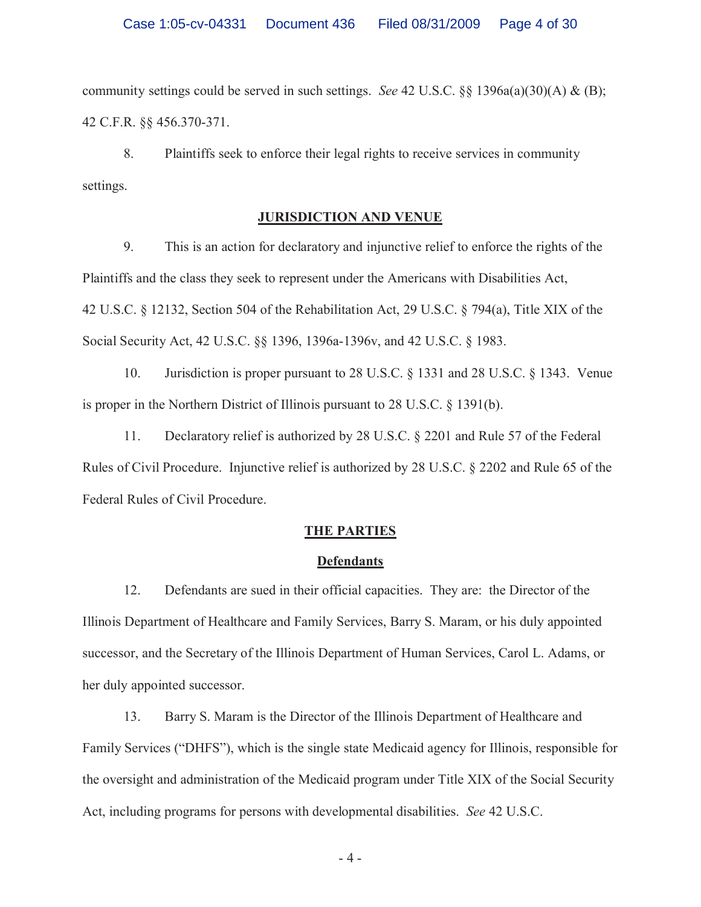community settings could be served in such settings. *See* 42 U.S.C. §§ 1396a(a)(30)(A) & (B); 42 C.F.R. §§ 456.370-371.

8. Plaintiffs seek to enforce their legal rights to receive services in community settings.

## **JURISDICTION AND VENUE**

9. This is an action for declaratory and injunctive relief to enforce the rights of the Plaintiffs and the class they seek to represent under the Americans with Disabilities Act, 42 U.S.C. § 12132, Section 504 of the Rehabilitation Act, 29 U.S.C. § 794(a), Title XIX of the Social Security Act, 42 U.S.C. §§ 1396, 1396a-1396v, and 42 U.S.C. § 1983.

10. Jurisdiction is proper pursuant to 28 U.S.C. § 1331 and 28 U.S.C. § 1343. Venue is proper in the Northern District of Illinois pursuant to 28 U.S.C. § 1391(b).

11. Declaratory relief is authorized by 28 U.S.C. § 2201 and Rule 57 of the Federal Rules of Civil Procedure. Injunctive relief is authorized by 28 U.S.C. § 2202 and Rule 65 of the Federal Rules of Civil Procedure.

## **THE PARTIES**

### **Defendants**

12. Defendants are sued in their official capacities. They are: the Director of the Illinois Department of Healthcare and Family Services, Barry S. Maram, or his duly appointed successor, and the Secretary of the Illinois Department of Human Services, Carol L. Adams, or her duly appointed successor.

13. Barry S. Maram is the Director of the Illinois Department of Healthcare and Family Services ("DHFS"), which is the single state Medicaid agency for Illinois, responsible for the oversight and administration of the Medicaid program under Title XIX of the Social Security Act, including programs for persons with developmental disabilities. *See* 42 U.S.C.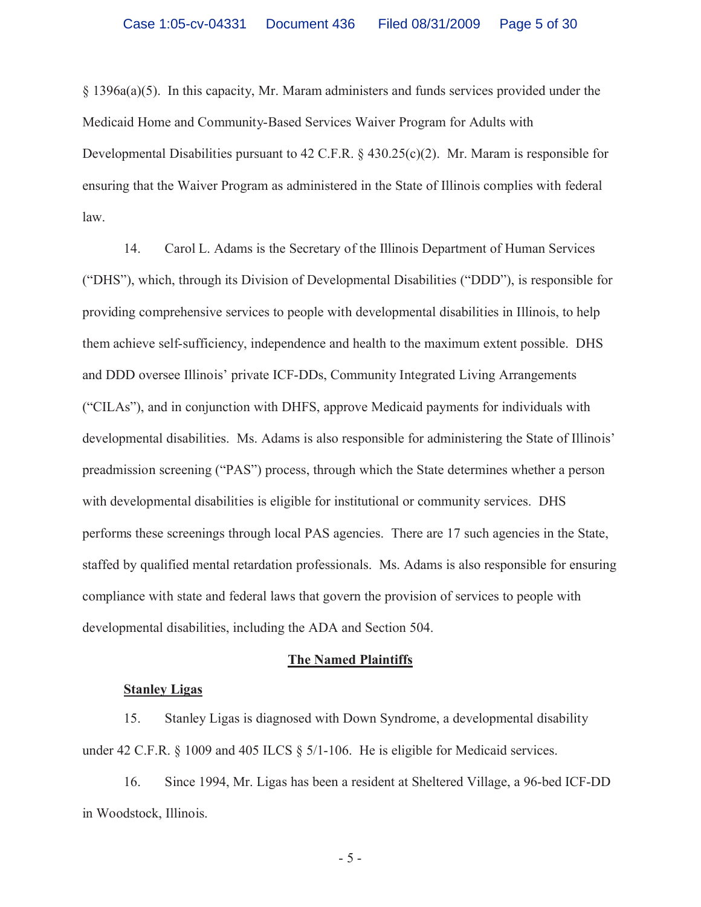§ 1396a(a)(5). In this capacity, Mr. Maram administers and funds services provided under the Medicaid Home and Community-Based Services Waiver Program for Adults with Developmental Disabilities pursuant to 42 C.F.R. § 430.25(c)(2). Mr. Maram is responsible for ensuring that the Waiver Program as administered in the State of Illinois complies with federal law.

14. Carol L. Adams is the Secretary of the Illinois Department of Human Services ("DHS"), which, through its Division of Developmental Disabilities ("DDD"), is responsible for providing comprehensive services to people with developmental disabilities in Illinois, to help them achieve self-sufficiency, independence and health to the maximum extent possible. DHS and DDD oversee Illinois' private ICF-DDs, Community Integrated Living Arrangements ("CILAs"), and in conjunction with DHFS, approve Medicaid payments for individuals with developmental disabilities. Ms. Adams is also responsible for administering the State of Illinois' preadmission screening ("PAS") process, through which the State determines whether a person with developmental disabilities is eligible for institutional or community services. DHS performs these screenings through local PAS agencies. There are 17 such agencies in the State, staffed by qualified mental retardation professionals. Ms. Adams is also responsible for ensuring compliance with state and federal laws that govern the provision of services to people with developmental disabilities, including the ADA and Section 504.

### **The Named Plaintiffs**

### **Stanley Ligas**

15. Stanley Ligas is diagnosed with Down Syndrome, a developmental disability under 42 C.F.R. § 1009 and 405 ILCS § 5/1-106. He is eligible for Medicaid services.

16. Since 1994, Mr. Ligas has been a resident at Sheltered Village, a 96-bed ICF-DD in Woodstock, Illinois.

- 5 -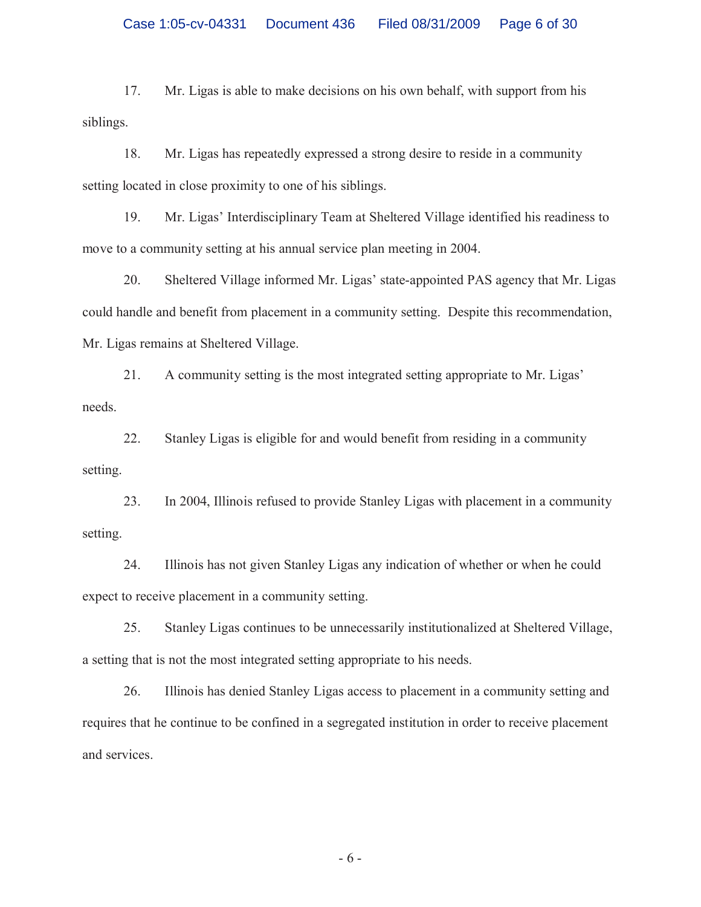17. Mr. Ligas is able to make decisions on his own behalf, with support from his siblings.

18. Mr. Ligas has repeatedly expressed a strong desire to reside in a community setting located in close proximity to one of his siblings.

19. Mr. Ligas' Interdisciplinary Team at Sheltered Village identified his readiness to move to a community setting at his annual service plan meeting in 2004.

20. Sheltered Village informed Mr. Ligas' state-appointed PAS agency that Mr. Ligas could handle and benefit from placement in a community setting. Despite this recommendation, Mr. Ligas remains at Sheltered Village.

21. A community setting is the most integrated setting appropriate to Mr. Ligas' needs.

22. Stanley Ligas is eligible for and would benefit from residing in a community setting.

23. In 2004, Illinois refused to provide Stanley Ligas with placement in a community setting.

24. Illinois has not given Stanley Ligas any indication of whether or when he could expect to receive placement in a community setting.

25. Stanley Ligas continues to be unnecessarily institutionalized at Sheltered Village, a setting that is not the most integrated setting appropriate to his needs.

26. Illinois has denied Stanley Ligas access to placement in a community setting and requires that he continue to be confined in a segregated institution in order to receive placement and services.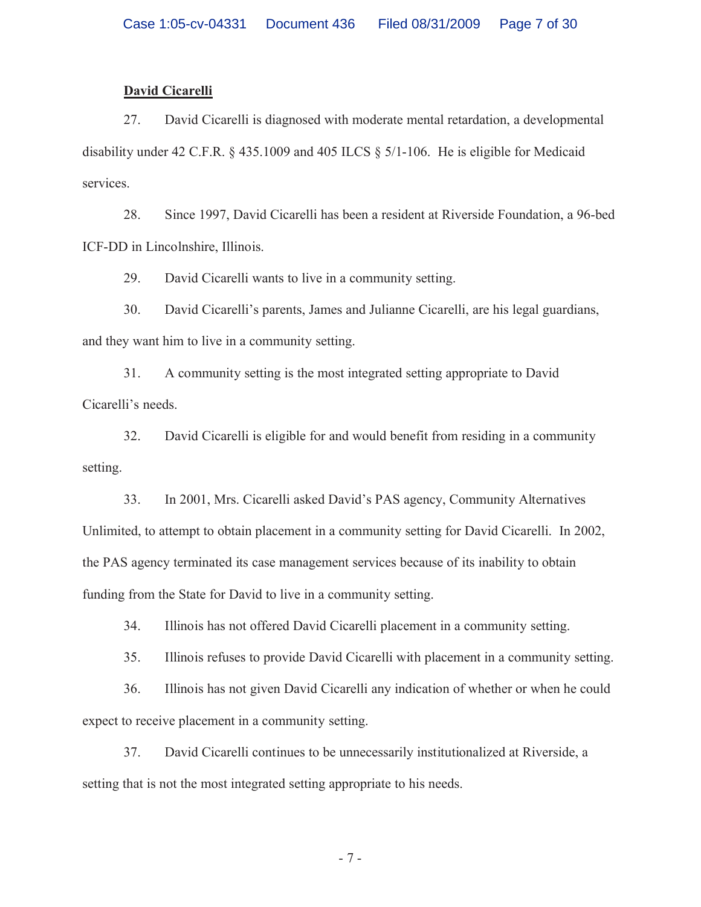### **David Cicarelli**

27. David Cicarelli is diagnosed with moderate mental retardation, a developmental disability under 42 C.F.R. § 435.1009 and 405 ILCS § 5/1-106. He is eligible for Medicaid services.

28. Since 1997, David Cicarelli has been a resident at Riverside Foundation, a 96-bed ICF-DD in Lincolnshire, Illinois.

29. David Cicarelli wants to live in a community setting.

30. David Cicarelli's parents, James and Julianne Cicarelli, are his legal guardians, and they want him to live in a community setting.

31. A community setting is the most integrated setting appropriate to David Cicarelli's needs.

32. David Cicarelli is eligible for and would benefit from residing in a community setting.

33. In 2001, Mrs. Cicarelli asked David's PAS agency, Community Alternatives Unlimited, to attempt to obtain placement in a community setting for David Cicarelli. In 2002, the PAS agency terminated its case management services because of its inability to obtain funding from the State for David to live in a community setting.

34. Illinois has not offered David Cicarelli placement in a community setting.

35. Illinois refuses to provide David Cicarelli with placement in a community setting.

36. Illinois has not given David Cicarelli any indication of whether or when he could expect to receive placement in a community setting.

37. David Cicarelli continues to be unnecessarily institutionalized at Riverside, a setting that is not the most integrated setting appropriate to his needs.

- 7 -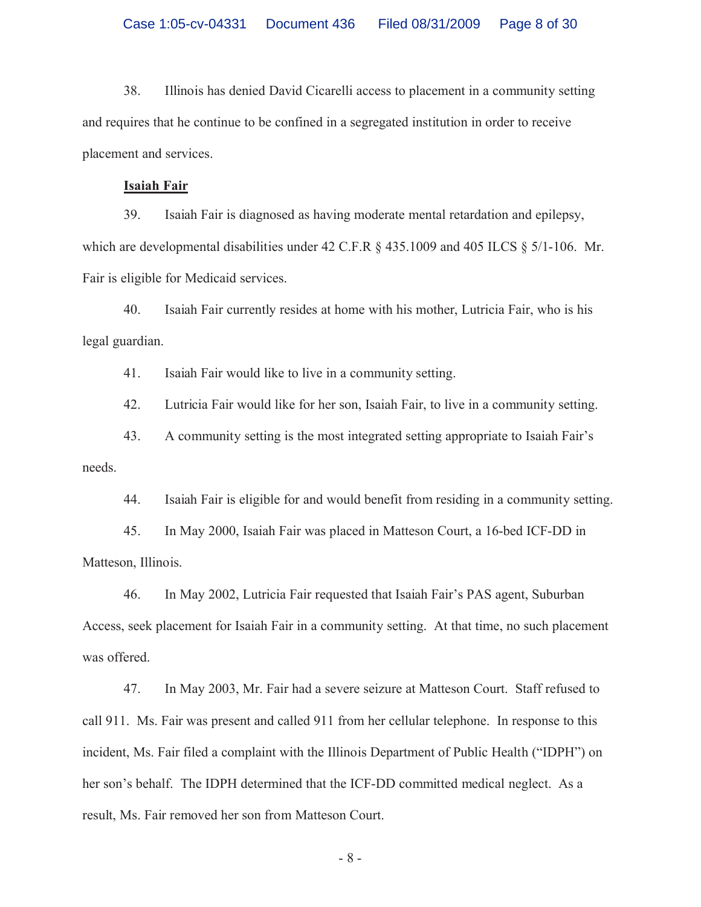38. Illinois has denied David Cicarelli access to placement in a community setting and requires that he continue to be confined in a segregated institution in order to receive placement and services.

### **Isaiah Fair**

39. Isaiah Fair is diagnosed as having moderate mental retardation and epilepsy, which are developmental disabilities under 42 C.F.R § 435.1009 and 405 ILCS § 5/1-106. Mr. Fair is eligible for Medicaid services.

40. Isaiah Fair currently resides at home with his mother, Lutricia Fair, who is his legal guardian.

41. Isaiah Fair would like to live in a community setting.

42. Lutricia Fair would like for her son, Isaiah Fair, to live in a community setting.

43. A community setting is the most integrated setting appropriate to Isaiah Fair's needs.

44. Isaiah Fair is eligible for and would benefit from residing in a community setting.

45. In May 2000, Isaiah Fair was placed in Matteson Court, a 16-bed ICF-DD in Matteson, Illinois.

46. In May 2002, Lutricia Fair requested that Isaiah Fair's PAS agent, Suburban Access, seek placement for Isaiah Fair in a community setting. At that time, no such placement was offered.

47. In May 2003, Mr. Fair had a severe seizure at Matteson Court. Staff refused to call 911. Ms. Fair was present and called 911 from her cellular telephone. In response to this incident, Ms. Fair filed a complaint with the Illinois Department of Public Health ("IDPH") on her son's behalf. The IDPH determined that the ICF-DD committed medical neglect. As a result, Ms. Fair removed her son from Matteson Court.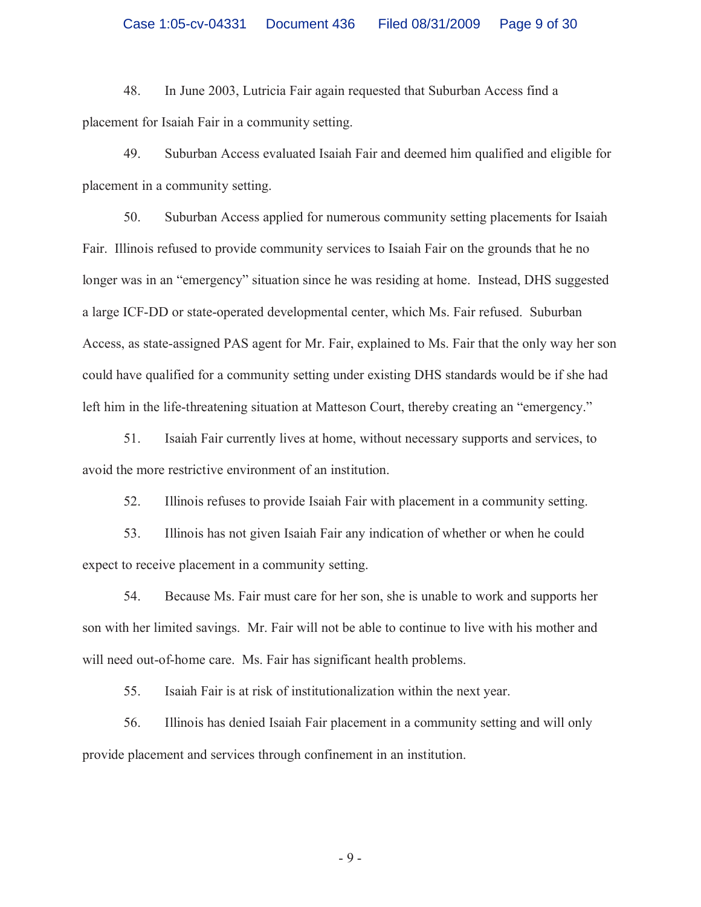48. In June 2003, Lutricia Fair again requested that Suburban Access find a placement for Isaiah Fair in a community setting.

49. Suburban Access evaluated Isaiah Fair and deemed him qualified and eligible for placement in a community setting.

50. Suburban Access applied for numerous community setting placements for Isaiah Fair. Illinois refused to provide community services to Isaiah Fair on the grounds that he no longer was in an "emergency" situation since he was residing at home. Instead, DHS suggested a large ICF-DD or state-operated developmental center, which Ms. Fair refused. Suburban Access, as state-assigned PAS agent for Mr. Fair, explained to Ms. Fair that the only way her son could have qualified for a community setting under existing DHS standards would be if she had left him in the life-threatening situation at Matteson Court, thereby creating an "emergency."

51. Isaiah Fair currently lives at home, without necessary supports and services, to avoid the more restrictive environment of an institution.

52. Illinois refuses to provide Isaiah Fair with placement in a community setting.

53. Illinois has not given Isaiah Fair any indication of whether or when he could expect to receive placement in a community setting.

54. Because Ms. Fair must care for her son, she is unable to work and supports her son with her limited savings. Mr. Fair will not be able to continue to live with his mother and will need out-of-home care. Ms. Fair has significant health problems.

55. Isaiah Fair is at risk of institutionalization within the next year.

56. Illinois has denied Isaiah Fair placement in a community setting and will only provide placement and services through confinement in an institution.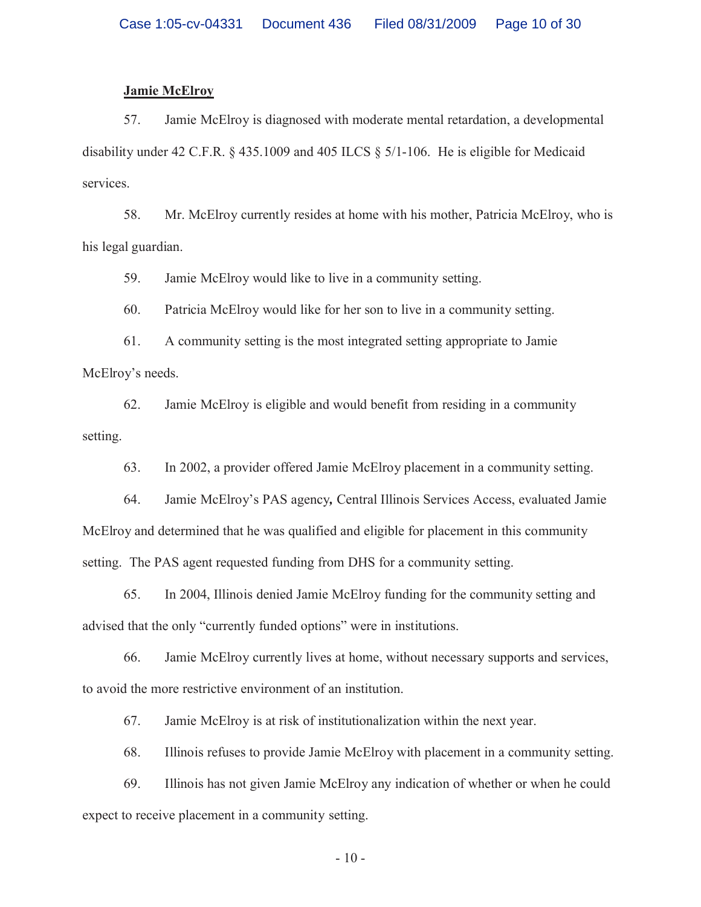### **Jamie McElroy**

57. Jamie McElroy is diagnosed with moderate mental retardation, a developmental disability under 42 C.F.R. § 435.1009 and 405 ILCS § 5/1-106. He is eligible for Medicaid services.

58. Mr. McElroy currently resides at home with his mother, Patricia McElroy, who is his legal guardian.

59. Jamie McElroy would like to live in a community setting.

60. Patricia McElroy would like for her son to live in a community setting.

61. A community setting is the most integrated setting appropriate to Jamie McElroy's needs.

62. Jamie McElroy is eligible and would benefit from residing in a community setting.

63. In 2002, a provider offered Jamie McElroy placement in a community setting.

64. Jamie McElroy's PAS agency*,* Central Illinois Services Access, evaluated Jamie McElroy and determined that he was qualified and eligible for placement in this community setting. The PAS agent requested funding from DHS for a community setting.

65. In 2004, Illinois denied Jamie McElroy funding for the community setting and advised that the only "currently funded options" were in institutions.

66. Jamie McElroy currently lives at home, without necessary supports and services, to avoid the more restrictive environment of an institution.

67. Jamie McElroy is at risk of institutionalization within the next year.

68. Illinois refuses to provide Jamie McElroy with placement in a community setting.

69. Illinois has not given Jamie McElroy any indication of whether or when he could expect to receive placement in a community setting.

 $-10-$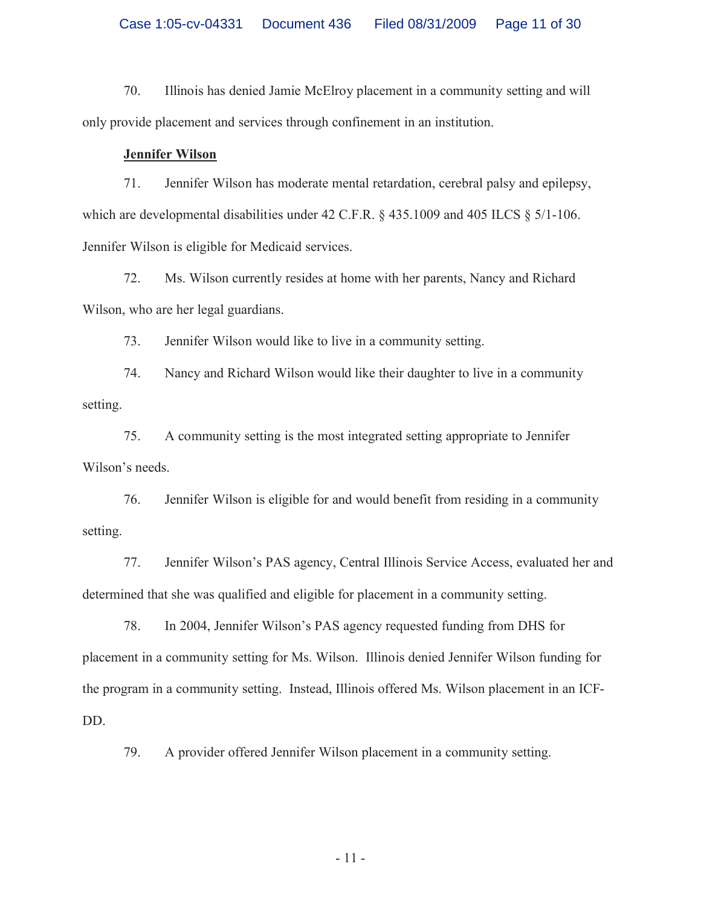70. Illinois has denied Jamie McElroy placement in a community setting and will only provide placement and services through confinement in an institution.

### **Jennifer Wilson**

71. Jennifer Wilson has moderate mental retardation, cerebral palsy and epilepsy, which are developmental disabilities under 42 C.F.R. § 435.1009 and 405 ILCS § 5/1-106. Jennifer Wilson is eligible for Medicaid services.

72. Ms. Wilson currently resides at home with her parents, Nancy and Richard Wilson, who are her legal guardians.

73. Jennifer Wilson would like to live in a community setting.

74. Nancy and Richard Wilson would like their daughter to live in a community setting.

75. A community setting is the most integrated setting appropriate to Jennifer Wilson's needs.

76. Jennifer Wilson is eligible for and would benefit from residing in a community setting.

77. Jennifer Wilson's PAS agency, Central Illinois Service Access, evaluated her and determined that she was qualified and eligible for placement in a community setting.

78. In 2004, Jennifer Wilson's PAS agency requested funding from DHS for placement in a community setting for Ms. Wilson. Illinois denied Jennifer Wilson funding for the program in a community setting. Instead, Illinois offered Ms. Wilson placement in an ICF-DD.

79. A provider offered Jennifer Wilson placement in a community setting.

- 11 -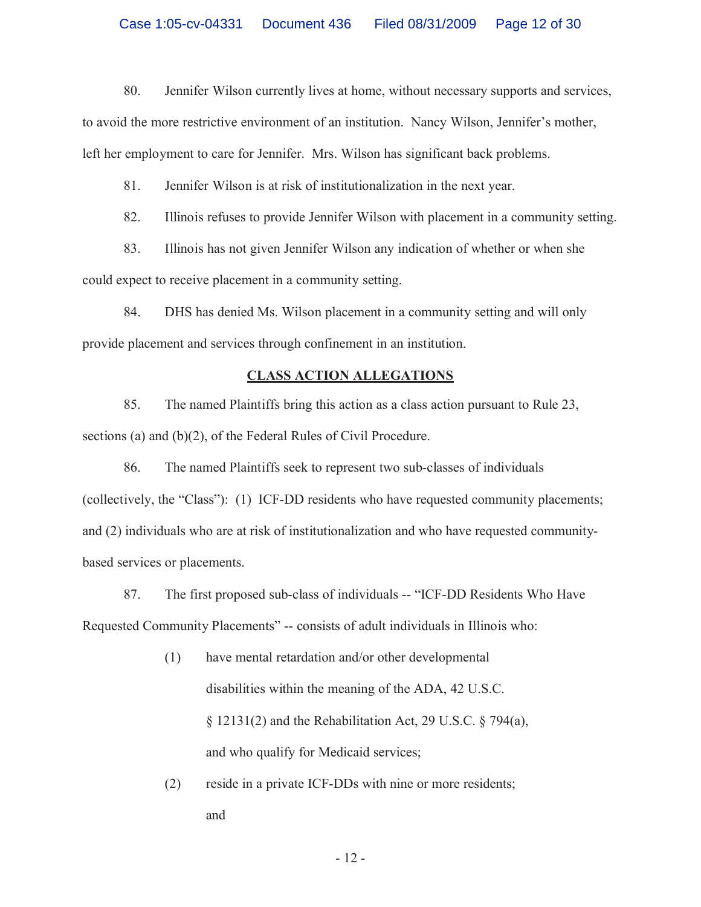80. Jennifer Wilson currently lives at home, without necessary supports and services,

to avoid the more restrictive environment of an institution. Nancy Wilson, Jennifer's mother,

left her employment to care for Jennifer. Mrs. Wilson has significant back problems.

81. Jennifer Wilson is at risk of institutionalization in the next year.

82. Illinois refuses to provide Jennifer Wilson with placement in a community setting.

83. Illinois has not given Jennifer Wilson any indication of whether or when she could expect to receive placement in a community setting.

84. DHS has denied Ms. Wilson placement in a community setting and will only provide placement and services through confinement in an institution.

### **CLASS ACTION ALLEGATIONS**

85. The named Plaintiffs bring this action as a class action pursuant to Rule 23, sections (a) and (b)(2), of the Federal Rules of Civil Procedure.

86. The named Plaintiffs seek to represent two sub-classes of individuals (collectively, the "Class"): (1) ICF-DD residents who have requested community placements; and (2) individuals who are at risk of institutionalization and who have requested communitybased services or placements.

87. The first proposed sub-class of individuals -- "ICF-DD Residents Who Have Requested Community Placements" -- consists of adult individuals in Illinois who:

- (1) have mental retardation and/or other developmental disabilities within the meaning of the ADA, 42 U.S.C. § 12131(2) and the Rehabilitation Act, 29 U.S.C. § 794(a), and who qualify for Medicaid services;
- (2) reside in a private ICF-DDs with nine or more residents; and

- 12 -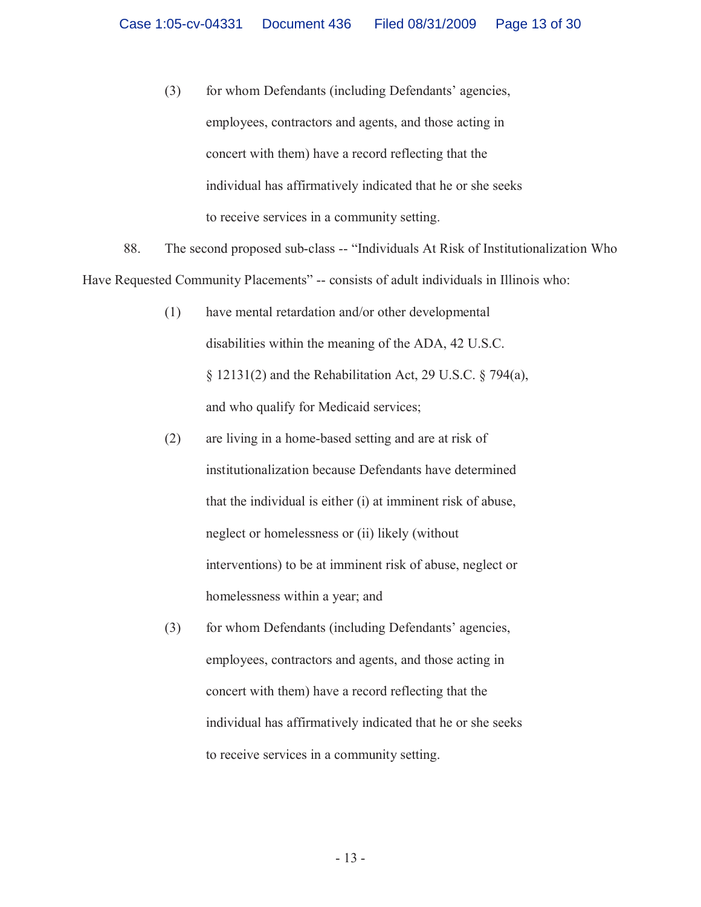(3) for whom Defendants (including Defendants' agencies, employees, contractors and agents, and those acting in concert with them) have a record reflecting that the individual has affirmatively indicated that he or she seeks to receive services in a community setting.

88. The second proposed sub-class -- "Individuals At Risk of Institutionalization Who Have Requested Community Placements" -- consists of adult individuals in Illinois who:

- (1) have mental retardation and/or other developmental disabilities within the meaning of the ADA, 42 U.S.C. § 12131(2) and the Rehabilitation Act, 29 U.S.C. § 794(a), and who qualify for Medicaid services;
- (2) are living in a home-based setting and are at risk of institutionalization because Defendants have determined that the individual is either (i) at imminent risk of abuse, neglect or homelessness or (ii) likely (without interventions) to be at imminent risk of abuse, neglect or homelessness within a year; and
- (3) for whom Defendants (including Defendants' agencies, employees, contractors and agents, and those acting in concert with them) have a record reflecting that the individual has affirmatively indicated that he or she seeks to receive services in a community setting.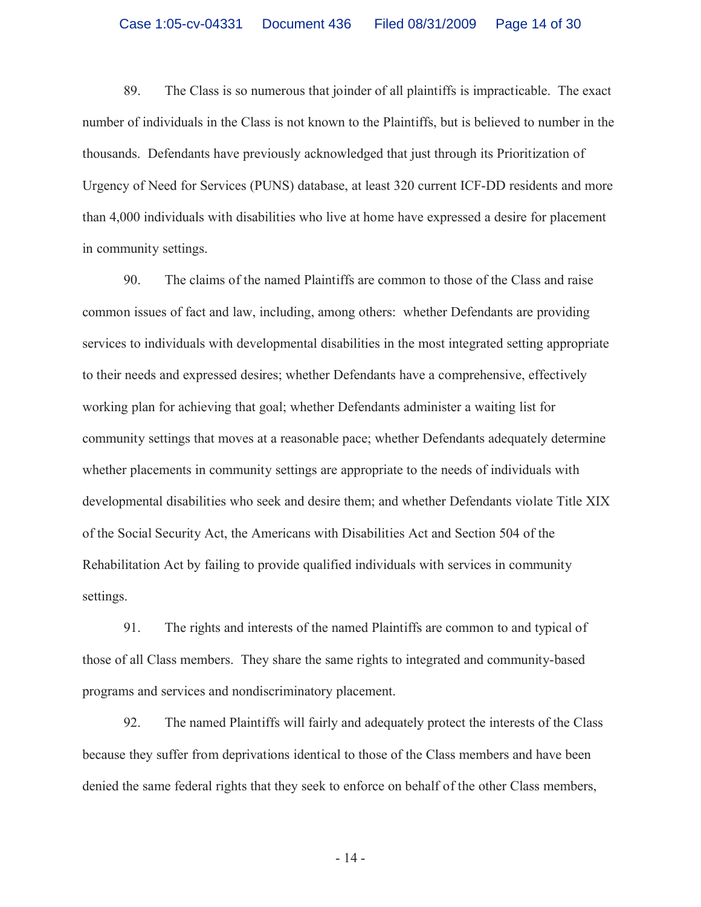89. The Class is so numerous that joinder of all plaintiffs is impracticable. The exact number of individuals in the Class is not known to the Plaintiffs, but is believed to number in the thousands. Defendants have previously acknowledged that just through its Prioritization of Urgency of Need for Services (PUNS) database, at least 320 current ICF-DD residents and more than 4,000 individuals with disabilities who live at home have expressed a desire for placement in community settings.

90. The claims of the named Plaintiffs are common to those of the Class and raise common issues of fact and law, including, among others: whether Defendants are providing services to individuals with developmental disabilities in the most integrated setting appropriate to their needs and expressed desires; whether Defendants have a comprehensive, effectively working plan for achieving that goal; whether Defendants administer a waiting list for community settings that moves at a reasonable pace; whether Defendants adequately determine whether placements in community settings are appropriate to the needs of individuals with developmental disabilities who seek and desire them; and whether Defendants violate Title XIX of the Social Security Act, the Americans with Disabilities Act and Section 504 of the Rehabilitation Act by failing to provide qualified individuals with services in community settings.

91. The rights and interests of the named Plaintiffs are common to and typical of those of all Class members. They share the same rights to integrated and community-based programs and services and nondiscriminatory placement.

92. The named Plaintiffs will fairly and adequately protect the interests of the Class because they suffer from deprivations identical to those of the Class members and have been denied the same federal rights that they seek to enforce on behalf of the other Class members,

- 14 -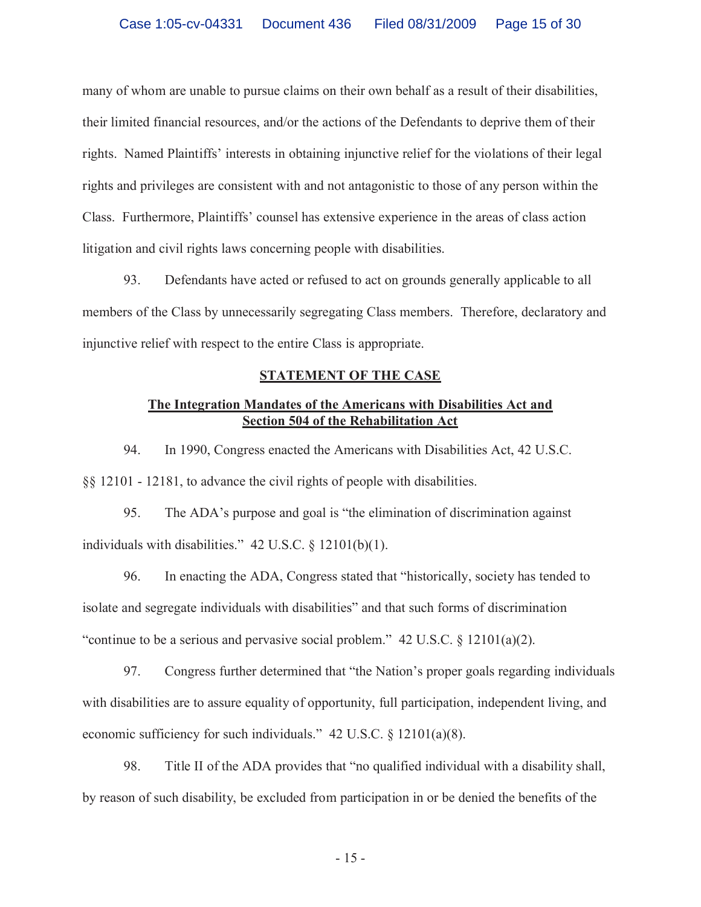many of whom are unable to pursue claims on their own behalf as a result of their disabilities, their limited financial resources, and/or the actions of the Defendants to deprive them of their rights. Named Plaintiffs' interests in obtaining injunctive relief for the violations of their legal rights and privileges are consistent with and not antagonistic to those of any person within the Class. Furthermore, Plaintiffs' counsel has extensive experience in the areas of class action litigation and civil rights laws concerning people with disabilities.

93. Defendants have acted or refused to act on grounds generally applicable to all members of the Class by unnecessarily segregating Class members. Therefore, declaratory and injunctive relief with respect to the entire Class is appropriate.

## **STATEMENT OF THE CASE**

## **The Integration Mandates of the Americans with Disabilities Act and Section 504 of the Rehabilitation Act**

94. In 1990, Congress enacted the Americans with Disabilities Act, 42 U.S.C. §§ 12101 - 12181, to advance the civil rights of people with disabilities.

95. The ADA's purpose and goal is "the elimination of discrimination against individuals with disabilities." 42 U.S.C. § 12101(b)(1).

96. In enacting the ADA, Congress stated that "historically, society has tended to isolate and segregate individuals with disabilities" and that such forms of discrimination "continue to be a serious and pervasive social problem." 42 U.S.C. § 12101(a)(2).

97. Congress further determined that "the Nation's proper goals regarding individuals with disabilities are to assure equality of opportunity, full participation, independent living, and economic sufficiency for such individuals." 42 U.S.C. § 12101(a)(8).

98. Title II of the ADA provides that "no qualified individual with a disability shall, by reason of such disability, be excluded from participation in or be denied the benefits of the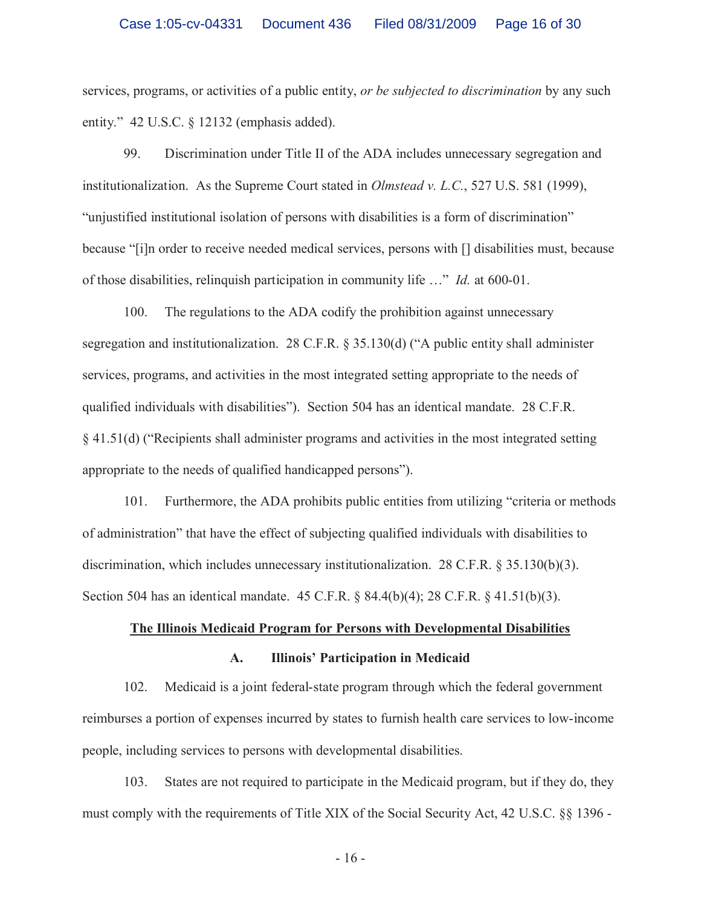services, programs, or activities of a public entity, *or be subjected to discrimination* by any such entity." 42 U.S.C. § 12132 (emphasis added).

99. Discrimination under Title II of the ADA includes unnecessary segregation and institutionalization. As the Supreme Court stated in *Olmstead v. L.C.*, 527 U.S. 581 (1999), "unjustified institutional isolation of persons with disabilities is a form of discrimination" because "[i]n order to receive needed medical services, persons with [] disabilities must, because of those disabilities, relinquish participation in community life …" *Id.* at 600-01.

100. The regulations to the ADA codify the prohibition against unnecessary segregation and institutionalization. 28 C.F.R. § 35.130(d) ("A public entity shall administer services, programs, and activities in the most integrated setting appropriate to the needs of qualified individuals with disabilities"). Section 504 has an identical mandate. 28 C.F.R. § 41.51(d) ("Recipients shall administer programs and activities in the most integrated setting appropriate to the needs of qualified handicapped persons").

101. Furthermore, the ADA prohibits public entities from utilizing "criteria or methods of administration" that have the effect of subjecting qualified individuals with disabilities to discrimination, which includes unnecessary institutionalization. 28 C.F.R.  $\S$  35.130(b)(3). Section 504 has an identical mandate. 45 C.F.R. § 84.4(b)(4); 28 C.F.R. § 41.51(b)(3).

# **The Illinois Medicaid Program for Persons with Developmental Disabilities A. Illinois' Participation in Medicaid**

102. Medicaid is a joint federal-state program through which the federal government reimburses a portion of expenses incurred by states to furnish health care services to low-income people, including services to persons with developmental disabilities.

103. States are not required to participate in the Medicaid program, but if they do, they must comply with the requirements of Title XIX of the Social Security Act, 42 U.S.C. §§ 1396 -

- 16 -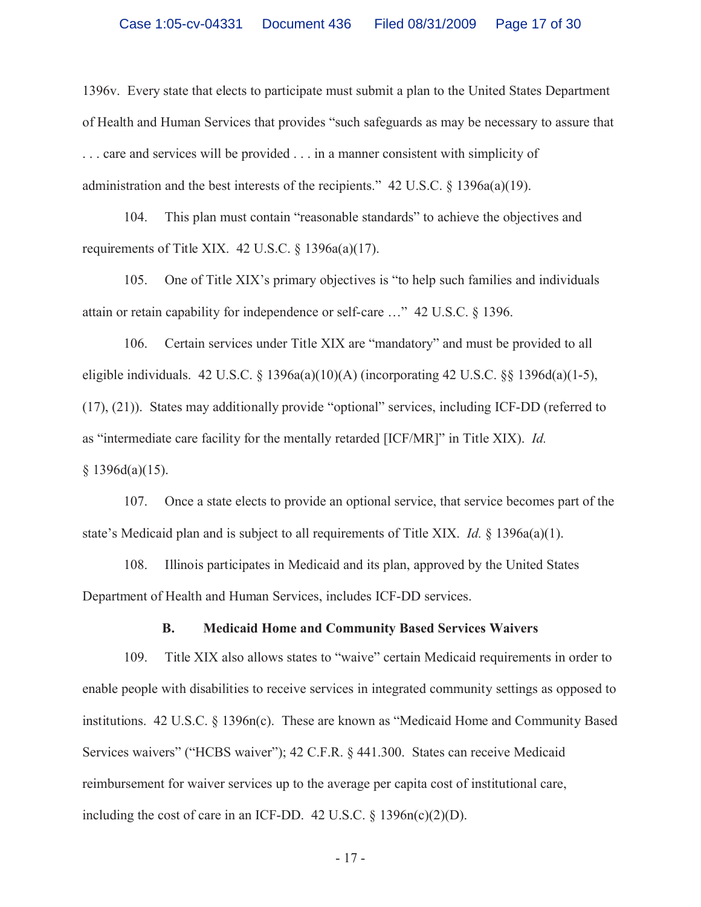1396v. Every state that elects to participate must submit a plan to the United States Department of Health and Human Services that provides "such safeguards as may be necessary to assure that . . . care and services will be provided . . . in a manner consistent with simplicity of administration and the best interests of the recipients." 42 U.S.C. § 1396a(a)(19).

104. This plan must contain "reasonable standards" to achieve the objectives and requirements of Title XIX.  $42 \text{ U.S.C.}$  §  $1396a(a)(17)$ .

105. One of Title XIX's primary objectives is "to help such families and individuals attain or retain capability for independence or self-care …" 42 U.S.C. § 1396.

106. Certain services under Title XIX are "mandatory" and must be provided to all eligible individuals. 42 U.S.C. § 1396a(a)(10)(A) (incorporating 42 U.S.C. §§ 1396d(a)(1-5), (17), (21)). States may additionally provide "optional" services, including ICF-DD (referred to as "intermediate care facility for the mentally retarded [ICF/MR]" in Title XIX). *Id.*  $§ 1396d(a)(15).$ 

107. Once a state elects to provide an optional service, that service becomes part of the state's Medicaid plan and is subject to all requirements of Title XIX. *Id.* § 1396a(a)(1).

108. Illinois participates in Medicaid and its plan, approved by the United States Department of Health and Human Services, includes ICF-DD services.

### **B. Medicaid Home and Community Based Services Waivers**

109. Title XIX also allows states to "waive" certain Medicaid requirements in order to enable people with disabilities to receive services in integrated community settings as opposed to institutions. 42 U.S.C. § 1396n(c). These are known as "Medicaid Home and Community Based Services waivers" ("HCBS waiver"); 42 C.F.R. § 441.300. States can receive Medicaid reimbursement for waiver services up to the average per capita cost of institutional care, including the cost of care in an ICF-DD.  $42 \text{ U.S.C.} \$   $3396n(c)(2)(D)$ .

- 17 -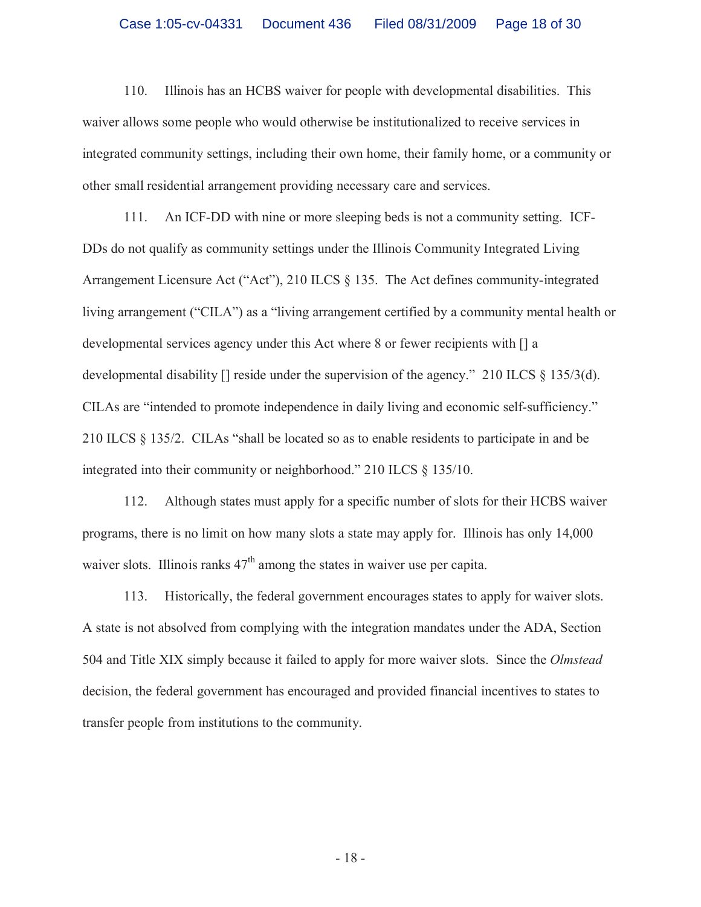110. Illinois has an HCBS waiver for people with developmental disabilities. This waiver allows some people who would otherwise be institutionalized to receive services in integrated community settings, including their own home, their family home, or a community or other small residential arrangement providing necessary care and services.

111. An ICF-DD with nine or more sleeping beds is not a community setting. ICF-DDs do not qualify as community settings under the Illinois Community Integrated Living Arrangement Licensure Act ("Act"), 210 ILCS § 135. The Act defines community-integrated living arrangement ("CILA") as a "living arrangement certified by a community mental health or developmental services agency under this Act where 8 or fewer recipients with [] a developmental disability  $[$  reside under the supervision of the agency." 210 ILCS  $\S$  135/3(d). CILAs are "intended to promote independence in daily living and economic self-sufficiency." 210 ILCS § 135/2. CILAs "shall be located so as to enable residents to participate in and be integrated into their community or neighborhood." 210 ILCS § 135/10.

112. Although states must apply for a specific number of slots for their HCBS waiver programs, there is no limit on how many slots a state may apply for. Illinois has only 14,000 waiver slots. Illinois ranks  $47<sup>th</sup>$  among the states in waiver use per capita.

113. Historically, the federal government encourages states to apply for waiver slots. A state is not absolved from complying with the integration mandates under the ADA, Section 504 and Title XIX simply because it failed to apply for more waiver slots. Since the *Olmstead* decision, the federal government has encouraged and provided financial incentives to states to transfer people from institutions to the community.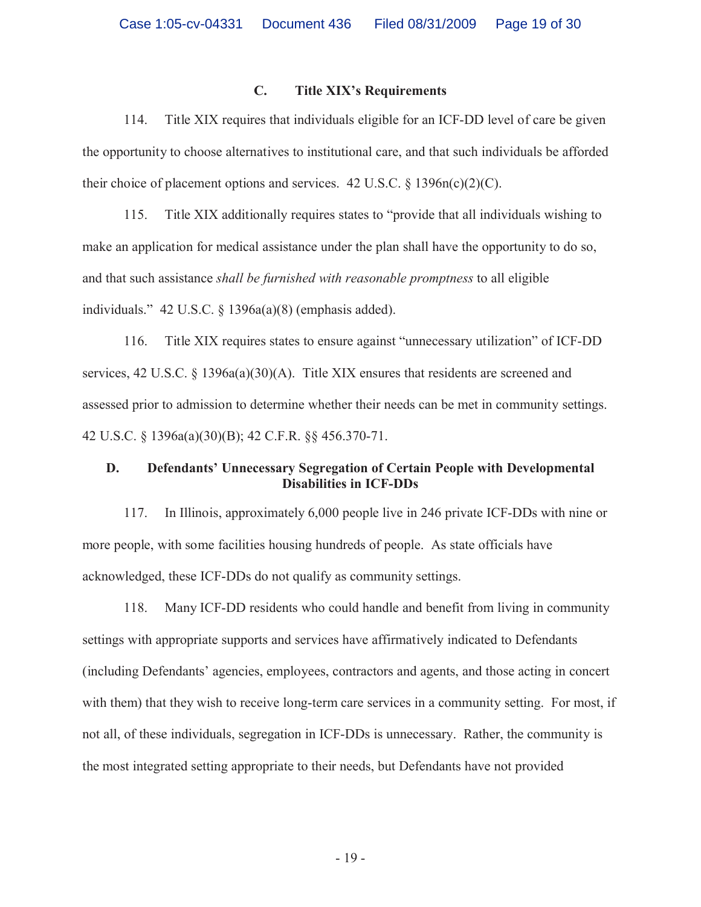## **C. Title XIX's Requirements**

114. Title XIX requires that individuals eligible for an ICF-DD level of care be given the opportunity to choose alternatives to institutional care, and that such individuals be afforded their choice of placement options and services.  $42 \text{ U.S.C.} \$   $1396n(c)(2)(C)$ .

115. Title XIX additionally requires states to "provide that all individuals wishing to make an application for medical assistance under the plan shall have the opportunity to do so, and that such assistance *shall be furnished with reasonable promptness* to all eligible individuals." 42 U.S.C. § 1396a(a)(8) (emphasis added).

116. Title XIX requires states to ensure against "unnecessary utilization" of ICF-DD services, 42 U.S.C. § 1396a(a)(30)(A). Title XIX ensures that residents are screened and assessed prior to admission to determine whether their needs can be met in community settings. 42 U.S.C. § 1396a(a)(30)(B); 42 C.F.R. §§ 456.370-71.

## **D. Defendants' Unnecessary Segregation of Certain People with Developmental Disabilities in ICF-DDs**

117. In Illinois, approximately 6,000 people live in 246 private ICF-DDs with nine or more people, with some facilities housing hundreds of people. As state officials have acknowledged, these ICF-DDs do not qualify as community settings.

118. Many ICF-DD residents who could handle and benefit from living in community settings with appropriate supports and services have affirmatively indicated to Defendants (including Defendants' agencies, employees, contractors and agents, and those acting in concert with them) that they wish to receive long-term care services in a community setting. For most, if not all, of these individuals, segregation in ICF-DDs is unnecessary. Rather, the community is the most integrated setting appropriate to their needs, but Defendants have not provided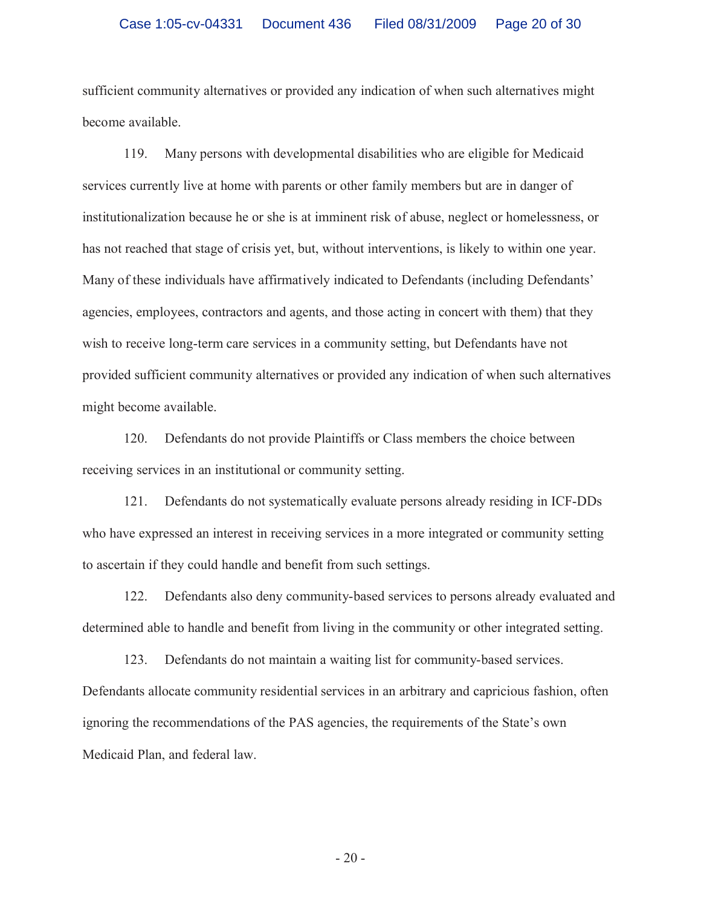sufficient community alternatives or provided any indication of when such alternatives might become available.

119. Many persons with developmental disabilities who are eligible for Medicaid services currently live at home with parents or other family members but are in danger of institutionalization because he or she is at imminent risk of abuse, neglect or homelessness, or has not reached that stage of crisis yet, but, without interventions, is likely to within one year. Many of these individuals have affirmatively indicated to Defendants (including Defendants' agencies, employees, contractors and agents, and those acting in concert with them) that they wish to receive long-term care services in a community setting, but Defendants have not provided sufficient community alternatives or provided any indication of when such alternatives might become available.

120. Defendants do not provide Plaintiffs or Class members the choice between receiving services in an institutional or community setting.

121. Defendants do not systematically evaluate persons already residing in ICF-DDs who have expressed an interest in receiving services in a more integrated or community setting to ascertain if they could handle and benefit from such settings.

122. Defendants also deny community-based services to persons already evaluated and determined able to handle and benefit from living in the community or other integrated setting.

123. Defendants do not maintain a waiting list for community-based services. Defendants allocate community residential services in an arbitrary and capricious fashion, often ignoring the recommendations of the PAS agencies, the requirements of the State's own Medicaid Plan, and federal law.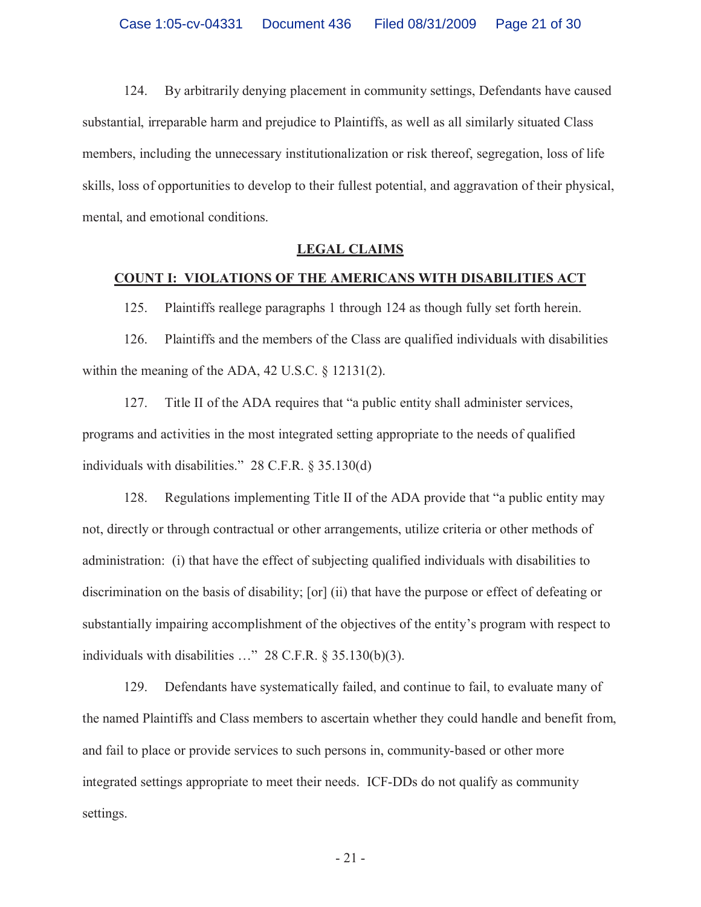124. By arbitrarily denying placement in community settings, Defendants have caused substantial, irreparable harm and prejudice to Plaintiffs, as well as all similarly situated Class members, including the unnecessary institutionalization or risk thereof, segregation, loss of life skills, loss of opportunities to develop to their fullest potential, and aggravation of their physical, mental, and emotional conditions.

### **LEGAL CLAIMS**

### **COUNT I: VIOLATIONS OF THE AMERICANS WITH DISABILITIES ACT**

125. Plaintiffs reallege paragraphs 1 through 124 as though fully set forth herein.

126. Plaintiffs and the members of the Class are qualified individuals with disabilities within the meaning of the ADA, 42 U.S.C. § 12131(2).

127. Title II of the ADA requires that "a public entity shall administer services, programs and activities in the most integrated setting appropriate to the needs of qualified individuals with disabilities." 28 C.F.R. § 35.130(d)

128. Regulations implementing Title II of the ADA provide that "a public entity may not, directly or through contractual or other arrangements, utilize criteria or other methods of administration: (i) that have the effect of subjecting qualified individuals with disabilities to discrimination on the basis of disability; [or] (ii) that have the purpose or effect of defeating or substantially impairing accomplishment of the objectives of the entity's program with respect to individuals with disabilities …" 28 C.F.R. § 35.130(b)(3).

129. Defendants have systematically failed, and continue to fail, to evaluate many of the named Plaintiffs and Class members to ascertain whether they could handle and benefit from, and fail to place or provide services to such persons in, community-based or other more integrated settings appropriate to meet their needs. ICF-DDs do not qualify as community settings.

- 21 -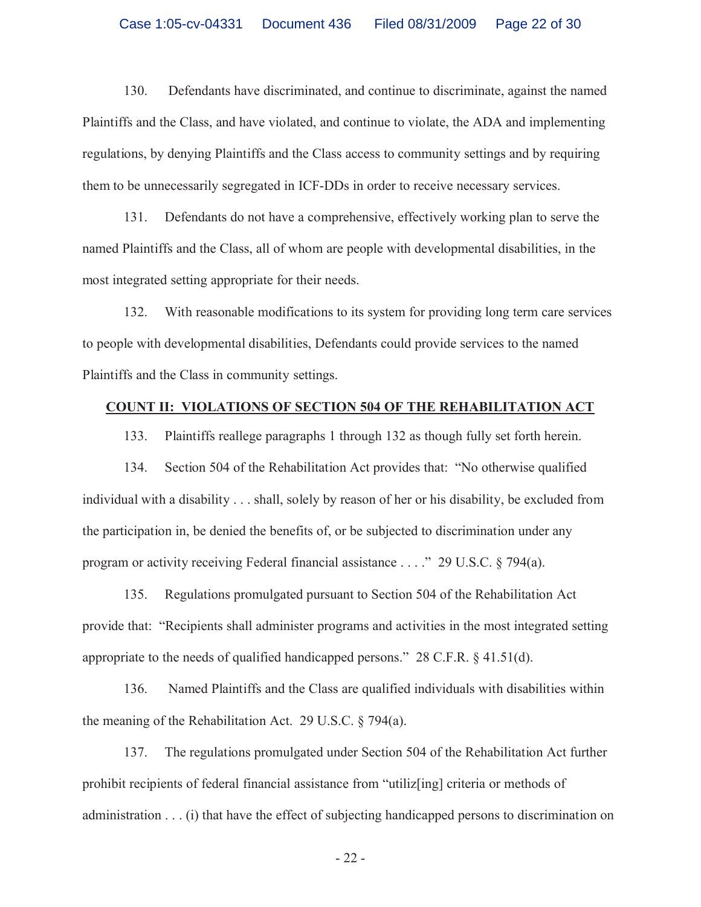130. Defendants have discriminated, and continue to discriminate, against the named Plaintiffs and the Class, and have violated, and continue to violate, the ADA and implementing regulations, by denying Plaintiffs and the Class access to community settings and by requiring them to be unnecessarily segregated in ICF-DDs in order to receive necessary services.

131. Defendants do not have a comprehensive, effectively working plan to serve the named Plaintiffs and the Class, all of whom are people with developmental disabilities, in the most integrated setting appropriate for their needs.

132. With reasonable modifications to its system for providing long term care services to people with developmental disabilities, Defendants could provide services to the named Plaintiffs and the Class in community settings.

### **COUNT II: VIOLATIONS OF SECTION 504 OF THE REHABILITATION ACT**

133. Plaintiffs reallege paragraphs 1 through 132 as though fully set forth herein.

134. Section 504 of the Rehabilitation Act provides that: "No otherwise qualified individual with a disability . . . shall, solely by reason of her or his disability, be excluded from the participation in, be denied the benefits of, or be subjected to discrimination under any program or activity receiving Federal financial assistance . . . ." 29 U.S.C. § 794(a).

135. Regulations promulgated pursuant to Section 504 of the Rehabilitation Act provide that: "Recipients shall administer programs and activities in the most integrated setting appropriate to the needs of qualified handicapped persons." 28 C.F.R. § 41.51(d).

136. Named Plaintiffs and the Class are qualified individuals with disabilities within the meaning of the Rehabilitation Act. 29 U.S.C. § 794(a).

137. The regulations promulgated under Section 504 of the Rehabilitation Act further prohibit recipients of federal financial assistance from "utiliz[ing] criteria or methods of administration . . . (i) that have the effect of subjecting handicapped persons to discrimination on

- 22 -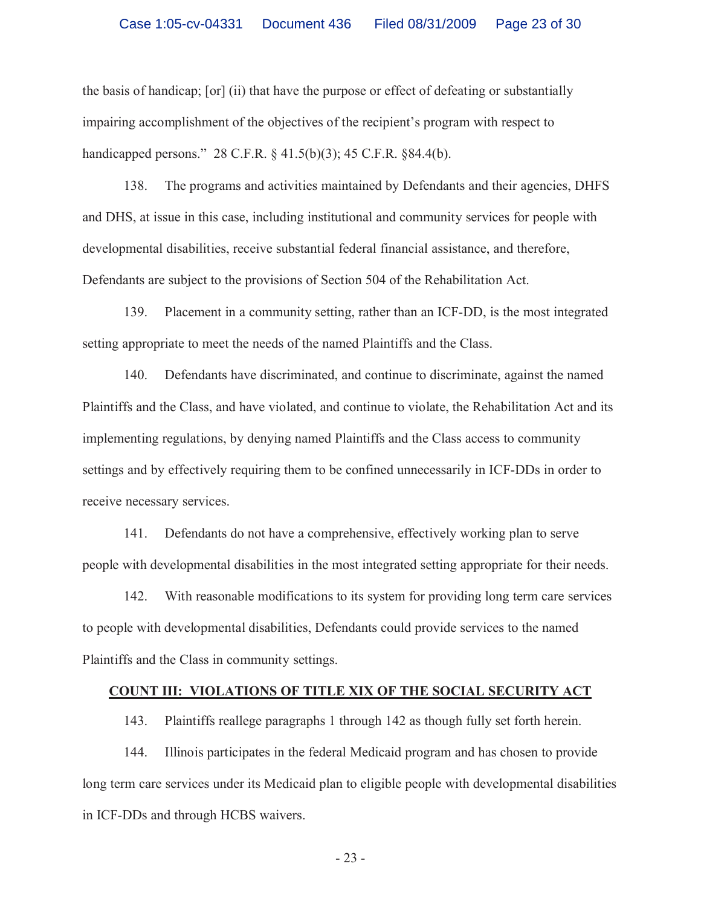the basis of handicap; [or] (ii) that have the purpose or effect of defeating or substantially impairing accomplishment of the objectives of the recipient's program with respect to handicapped persons." 28 C.F.R. § 41.5(b)(3); 45 C.F.R. §84.4(b).

138. The programs and activities maintained by Defendants and their agencies, DHFS and DHS, at issue in this case, including institutional and community services for people with developmental disabilities, receive substantial federal financial assistance, and therefore, Defendants are subject to the provisions of Section 504 of the Rehabilitation Act.

139. Placement in a community setting, rather than an ICF-DD, is the most integrated setting appropriate to meet the needs of the named Plaintiffs and the Class.

140. Defendants have discriminated, and continue to discriminate, against the named Plaintiffs and the Class, and have violated, and continue to violate, the Rehabilitation Act and its implementing regulations, by denying named Plaintiffs and the Class access to community settings and by effectively requiring them to be confined unnecessarily in ICF-DDs in order to receive necessary services.

141. Defendants do not have a comprehensive, effectively working plan to serve people with developmental disabilities in the most integrated setting appropriate for their needs.

142. With reasonable modifications to its system for providing long term care services to people with developmental disabilities, Defendants could provide services to the named Plaintiffs and the Class in community settings.

### **COUNT III: VIOLATIONS OF TITLE XIX OF THE SOCIAL SECURITY ACT**

143. Plaintiffs reallege paragraphs 1 through 142 as though fully set forth herein.

144. Illinois participates in the federal Medicaid program and has chosen to provide long term care services under its Medicaid plan to eligible people with developmental disabilities in ICF-DDs and through HCBS waivers.

- 23 -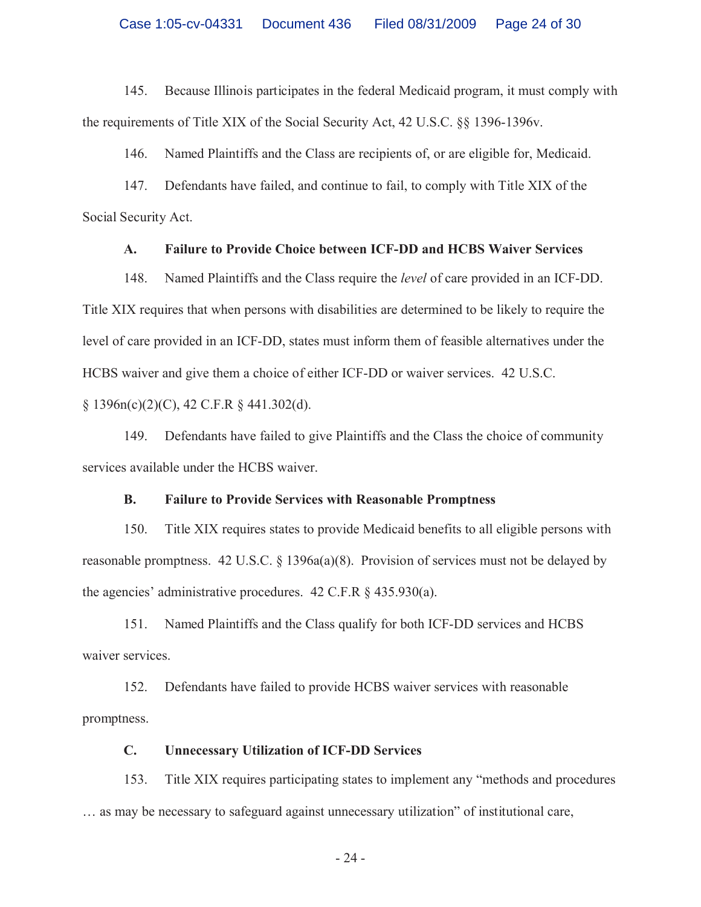145. Because Illinois participates in the federal Medicaid program, it must comply with the requirements of Title XIX of the Social Security Act, 42 U.S.C. §§ 1396-1396v.

146. Named Plaintiffs and the Class are recipients of, or are eligible for, Medicaid.

147. Defendants have failed, and continue to fail, to comply with Title XIX of the Social Security Act.

### **A. Failure to Provide Choice between ICF-DD and HCBS Waiver Services**

148. Named Plaintiffs and the Class require the *level* of care provided in an ICF-DD. Title XIX requires that when persons with disabilities are determined to be likely to require the level of care provided in an ICF-DD, states must inform them of feasible alternatives under the HCBS waiver and give them a choice of either ICF-DD or waiver services. 42 U.S.C.

 $§ 1396n(c)(2)(C), 42 C.F.R § 441.302(d).$ 

149. Defendants have failed to give Plaintiffs and the Class the choice of community services available under the HCBS waiver.

### **B. Failure to Provide Services with Reasonable Promptness**

150. Title XIX requires states to provide Medicaid benefits to all eligible persons with reasonable promptness. 42 U.S.C. § 1396a(a)(8). Provision of services must not be delayed by the agencies' administrative procedures. 42 C.F.R § 435.930(a).

151. Named Plaintiffs and the Class qualify for both ICF-DD services and HCBS waiver services.

152. Defendants have failed to provide HCBS waiver services with reasonable promptness.

## **C. Unnecessary Utilization of ICF-DD Services**

153. Title XIX requires participating states to implement any "methods and procedures … as may be necessary to safeguard against unnecessary utilization" of institutional care,

- 24 -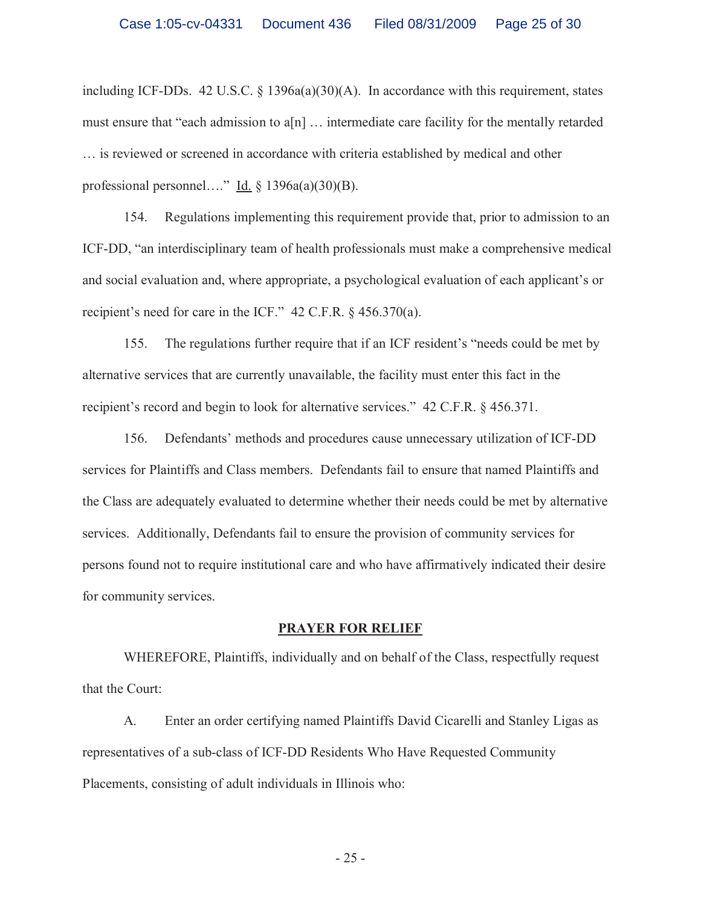including ICF-DDs. 42 U.S.C.  $\S$  1396a(a)(30)(A). In accordance with this requirement, states must ensure that "each admission to a[n] … intermediate care facility for the mentally retarded … is reviewed or screened in accordance with criteria established by medical and other professional personnel…." Id.  $\S$  1396a(a)(30)(B).

154. Regulations implementing this requirement provide that, prior to admission to an ICF-DD, "an interdisciplinary team of health professionals must make a comprehensive medical and social evaluation and, where appropriate, a psychological evaluation of each applicant's or recipient's need for care in the ICF." 42 C.F.R. § 456.370(a).

155. The regulations further require that if an ICF resident's "needs could be met by alternative services that are currently unavailable, the facility must enter this fact in the recipient's record and begin to look for alternative services." 42 C.F.R. § 456.371.

156. Defendants' methods and procedures cause unnecessary utilization of ICF-DD services for Plaintiffs and Class members. Defendants fail to ensure that named Plaintiffs and the Class are adequately evaluated to determine whether their needs could be met by alternative services. Additionally, Defendants fail to ensure the provision of community services for persons found not to require institutional care and who have affirmatively indicated their desire for community services.

### **PRAYER FOR RELIEF**

WHEREFORE, Plaintiffs, individually and on behalf of the Class, respectfully request that the Court:

A. Enter an order certifying named Plaintiffs David Cicarelli and Stanley Ligas as representatives of a sub-class of ICF-DD Residents Who Have Requested Community Placements, consisting of adult individuals in Illinois who:

- 25 -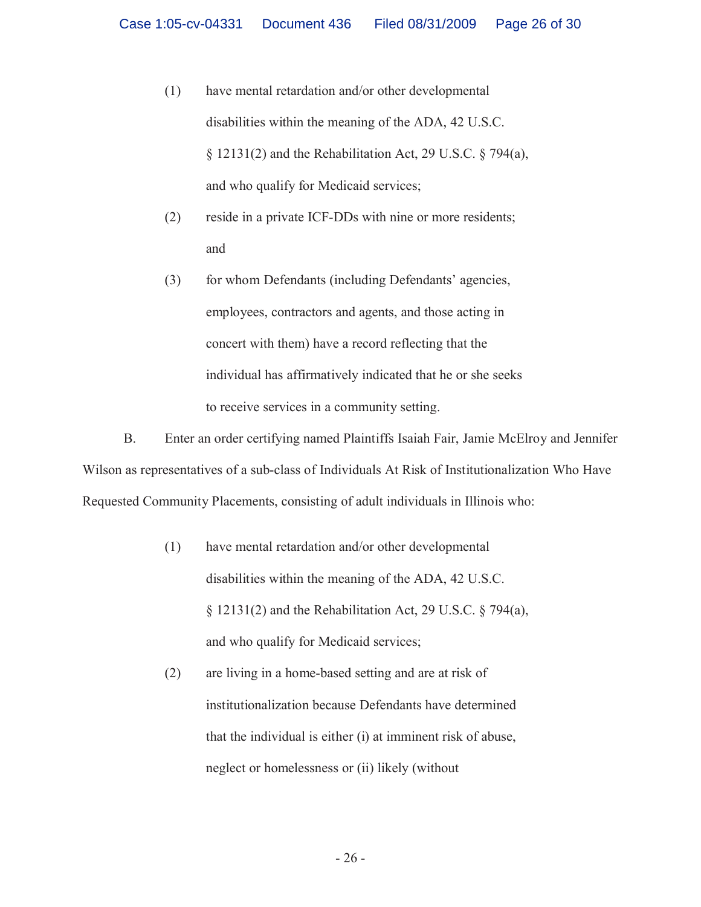- (1) have mental retardation and/or other developmental disabilities within the meaning of the ADA, 42 U.S.C. § 12131(2) and the Rehabilitation Act, 29 U.S.C. § 794(a), and who qualify for Medicaid services;
- (2) reside in a private ICF-DDs with nine or more residents; and
- (3) for whom Defendants (including Defendants' agencies, employees, contractors and agents, and those acting in concert with them) have a record reflecting that the individual has affirmatively indicated that he or she seeks to receive services in a community setting.

B. Enter an order certifying named Plaintiffs Isaiah Fair, Jamie McElroy and Jennifer Wilson as representatives of a sub-class of Individuals At Risk of Institutionalization Who Have Requested Community Placements, consisting of adult individuals in Illinois who:

- (1) have mental retardation and/or other developmental disabilities within the meaning of the ADA, 42 U.S.C. § 12131(2) and the Rehabilitation Act, 29 U.S.C. § 794(a), and who qualify for Medicaid services;
- (2) are living in a home-based setting and are at risk of institutionalization because Defendants have determined that the individual is either (i) at imminent risk of abuse, neglect or homelessness or (ii) likely (without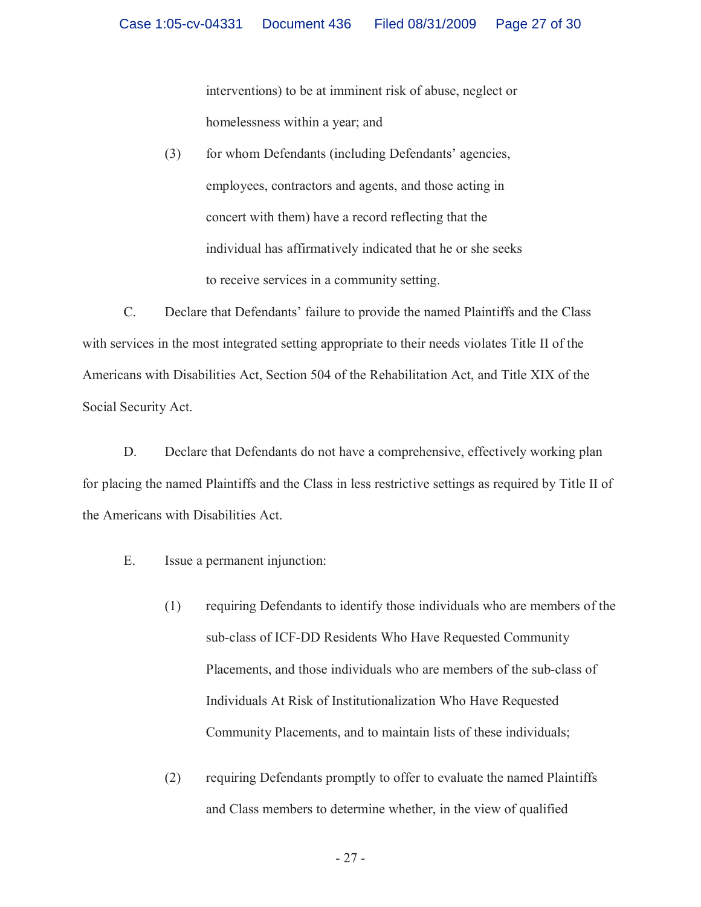interventions) to be at imminent risk of abuse, neglect or homelessness within a year; and

(3) for whom Defendants (including Defendants' agencies, employees, contractors and agents, and those acting in concert with them) have a record reflecting that the individual has affirmatively indicated that he or she seeks to receive services in a community setting.

C. Declare that Defendants' failure to provide the named Plaintiffs and the Class with services in the most integrated setting appropriate to their needs violates Title II of the Americans with Disabilities Act, Section 504 of the Rehabilitation Act, and Title XIX of the Social Security Act.

D. Declare that Defendants do not have a comprehensive, effectively working plan for placing the named Plaintiffs and the Class in less restrictive settings as required by Title II of the Americans with Disabilities Act.

- E. Issue a permanent injunction:
	- (1) requiring Defendants to identify those individuals who are members of the sub-class of ICF-DD Residents Who Have Requested Community Placements, and those individuals who are members of the sub-class of Individuals At Risk of Institutionalization Who Have Requested Community Placements, and to maintain lists of these individuals;
	- (2) requiring Defendants promptly to offer to evaluate the named Plaintiffs and Class members to determine whether, in the view of qualified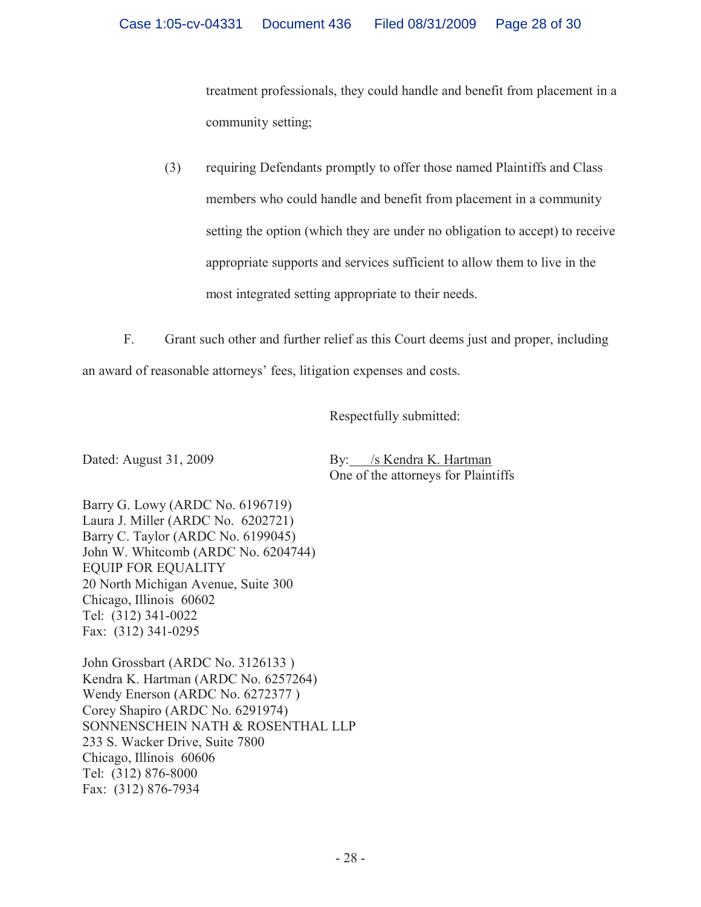treatment professionals, they could handle and benefit from placement in a community setting;

(3) requiring Defendants promptly to offer those named Plaintiffs and Class members who could handle and benefit from placement in a community setting the option (which they are under no obligation to accept) to receive appropriate supports and services sufficient to allow them to live in the most integrated setting appropriate to their needs.

F. Grant such other and further relief as this Court deems just and proper, including an award of reasonable attorneys' fees, litigation expenses and costs.

Respectfully submitted:

Dated: August 31, 2009 By: /s Kendra K. Hartman One of the attorneys for Plaintiffs

Barry G. Lowy (ARDC No. 6196719) Laura J. Miller (ARDC No. 6202721) Barry C. Taylor (ARDC No. 6199045) John W. Whitcomb (ARDC No. 6204744) EQUIP FOR EQUALITY 20 North Michigan Avenue, Suite 300 Chicago, Illinois 60602 Tel: (312) 341-0022 Fax: (312) 341-0295

John Grossbart (ARDC No. 3126133 ) Kendra K. Hartman (ARDC No. 6257264) Wendy Enerson (ARDC No. 6272377 ) Corey Shapiro (ARDC No. 6291974) SONNENSCHEIN NATH & ROSENTHAL LLP 233 S. Wacker Drive, Suite 7800 Chicago, Illinois 60606 Tel: (312) 876-8000 Fax: (312) 876-7934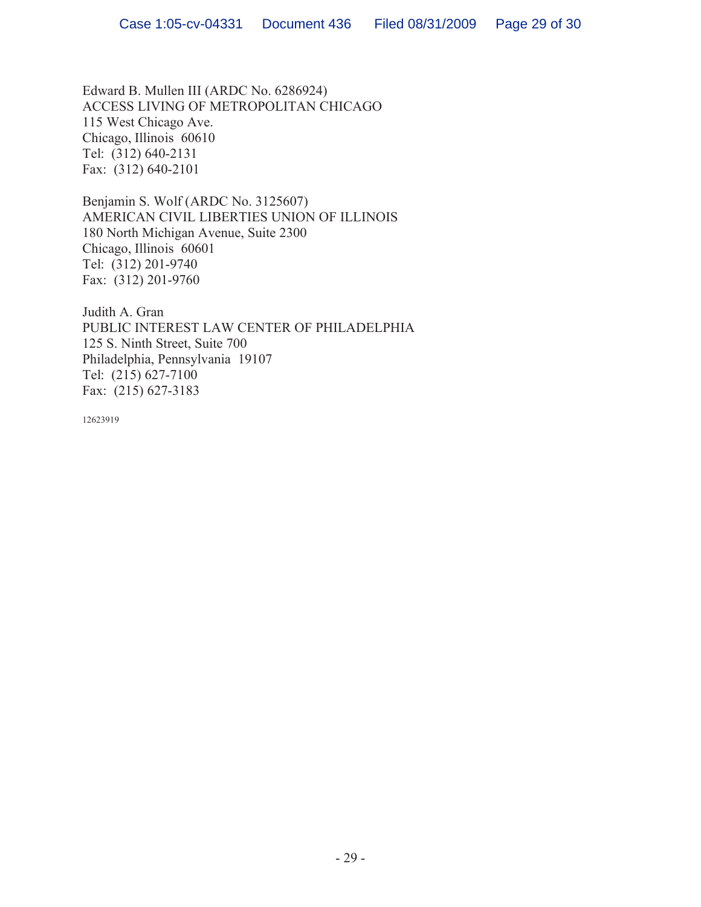Edward B. Mullen III (ARDC No. 6286924) ACCESS LIVING OF METROPOLITAN CHICAGO 115 West Chicago Ave. Chicago, Illinois 60610 Tel: (312) 640-2131 Fax: (312) 640-2101

Benjamin S. Wolf (ARDC No. 3125607) AMERICAN CIVIL LIBERTIES UNION OF ILLINOIS 180 North Michigan Avenue, Suite 2300 Chicago, Illinois 60601 Tel: (312) 201-9740 Fax: (312) 201-9760

Judith A. Gran PUBLIC INTEREST LAW CENTER OF PHILADELPHIA 125 S. Ninth Street, Suite 700 Philadelphia, Pennsylvania 19107 Tel: (215) 627-7100 Fax: (215) 627-3183

12623919